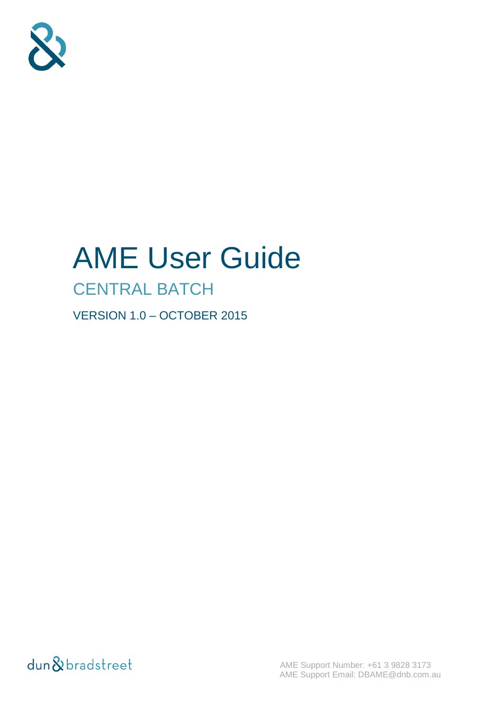

# AME User Guide

# CENTRAL BATCH

VERSION 1.0 – OCTOBER 2015

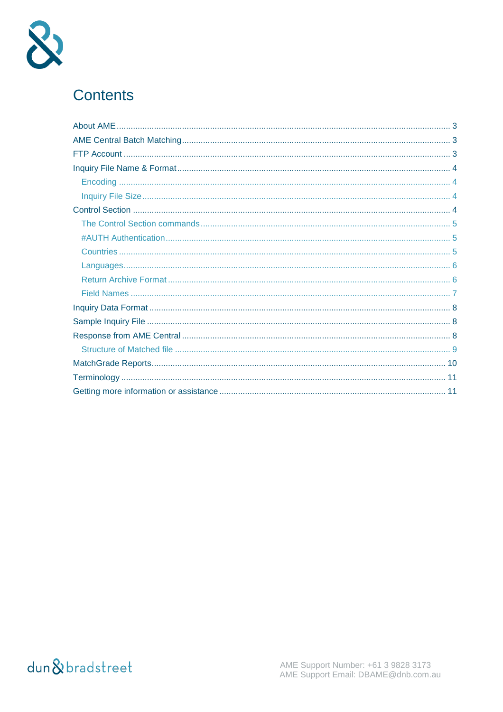

### **Contents**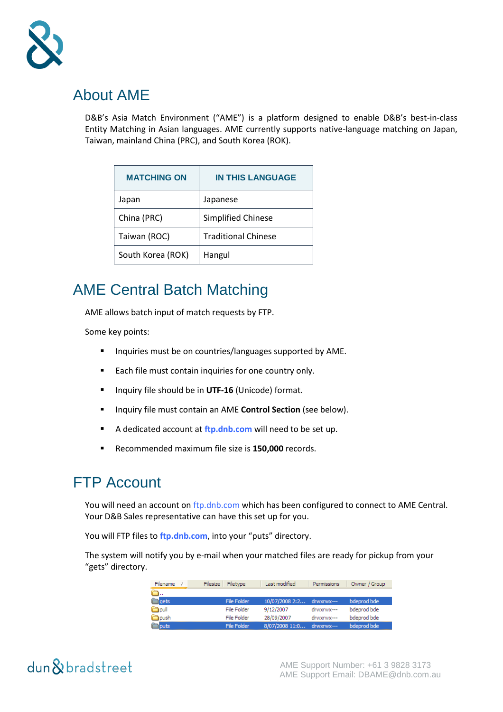

### About AME

D&B's Asia Match Environment ("AME") is a platform designed to enable D&B's best-in-class Entity Matching in Asian languages. AME currently supports native-language matching on Japan, Taiwan, mainland China (PRC), and South Korea (ROK).

| <b>MATCHING ON</b> | <b>IN THIS LANGUAGE</b>    |
|--------------------|----------------------------|
| Japan              | Japanese                   |
| China (PRC)        | Simplified Chinese         |
| Taiwan (ROC)       | <b>Traditional Chinese</b> |
| South Korea (ROK)  | Hangul                     |

### AME Central Batch Matching

AME allows batch input of match requests by FTP.

Some key points:

- **Inquiries must be on countries/languages supported by AME.**
- **Each file must contain inquiries for one country only.**
- **IF Inquiry file should be in UTF-16 (Unicode) format.**
- **Inquiry file must contain an AME Control Section** (see below).
- A dedicated account at **[ftp.dnb.com](ftp://ftp.dnb.com/)** will need to be set up.
- Recommended maximum file size is **150,000** records.

### FTP Account

You will need an account o[n ftp.dnb.com](ftp://ftp.dnb.com/) which has been configured to connect to AME Central. Your D&B Sales representative can have this set up for you.

You will FTP files to **[ftp.dnb.com](ftp://ftp.dnb.com/)**, into your "puts" directory.

The system will notify you by e-mail when your matched files are ready for pickup from your "gets" directory.

| Filename      | Filesize<br>Filetype | Last modified             | Permissions | Owner / Group |
|---------------|----------------------|---------------------------|-------------|---------------|
|               |                      |                           |             |               |
| <b>Tagets</b> | File Folder          | 10/07/2008 2:2 drwxrwx--- |             | bdeprod bde   |
| m pull        | File Folder          | 9/12/2007                 | drwxrwx---  | bdeprod bde   |
| ∃ìoush        | File Folder          | 28/09/2007                | drwxrwx---  | bdeprod bde   |
| liputs        | File Folder          | 8/07/2008 11:0            | drwxrwx---  | bdeprod bde   |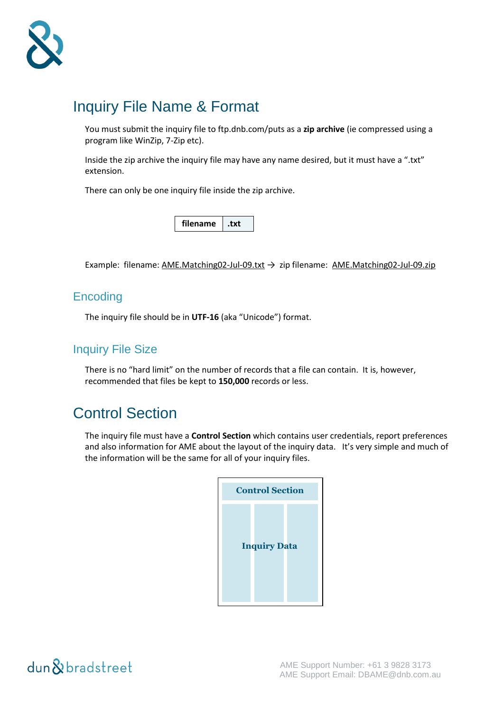

### Inquiry File Name & Format

You must submit the inquiry file to ftp.dnb.com/puts as a **zip archive** (ie compressed using a program like WinZip, 7-Zip etc).

Inside the zip archive the inquiry file may have any name desired, but it must have a ".txt" extension.

There can only be one inquiry file inside the zip archive.

**filename .txt**

Example: filename: AME.Matching02-Jul-09.txt  $\rightarrow$  zip filename: AME.Matching02-Jul-09.zip

### **Encoding**

The inquiry file should be in **UTF-16** (aka "Unicode") format.

### Inquiry File Size

There is no "hard limit" on the number of records that a file can contain. It is, however, recommended that files be kept to **150,000** records or less.

### Control Section

The inquiry file must have a **Control Section** which contains user credentials, report preferences and also information for AME about the layout of the inquiry data. It's very simple and much of the information will be the same for all of your inquiry files.

| <b>Control Section</b> |  |
|------------------------|--|
| <b>Inquiry Data</b>    |  |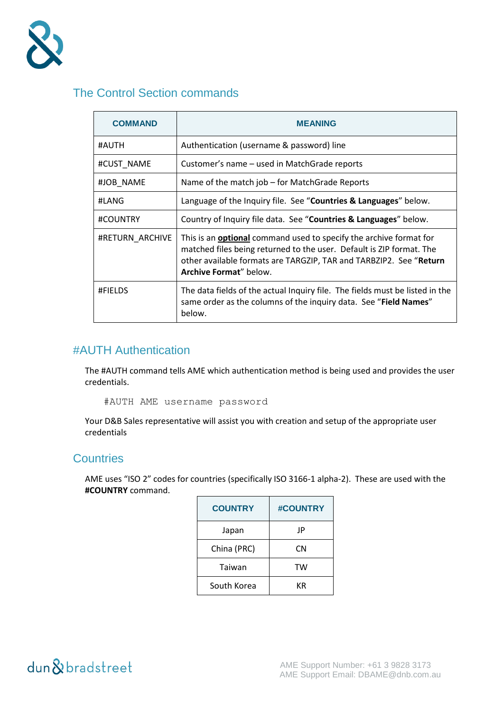

### The Control Section commands

| <b>COMMAND</b>  | MEANING                                                                                                                                                                                                                                           |  |
|-----------------|---------------------------------------------------------------------------------------------------------------------------------------------------------------------------------------------------------------------------------------------------|--|
| #AUTH           | Authentication (username & password) line                                                                                                                                                                                                         |  |
| #CUST_NAME      | Customer's name - used in MatchGrade reports                                                                                                                                                                                                      |  |
| #JOB NAME       | Name of the match job – for MatchGrade Reports                                                                                                                                                                                                    |  |
| #LANG           | Language of the Inquiry file. See "Countries & Languages" below.                                                                                                                                                                                  |  |
| #COUNTRY        | Country of Inquiry file data. See "Countries & Languages" below.                                                                                                                                                                                  |  |
| #RETURN ARCHIVE | This is an <b>optional</b> command used to specify the archive format for<br>matched files being returned to the user. Default is ZIP format. The<br>other available formats are TARGZIP, TAR and TARBZIP2. See "Return<br>Archive Format" below. |  |
| #FIELDS         | The data fields of the actual Inquiry file. The fields must be listed in the<br>same order as the columns of the inquiry data. See "Field Names"<br>below.                                                                                        |  |

### #AUTH Authentication

The #AUTH command tells AME which authentication method is being used and provides the user credentials.

#AUTH AME username password

Your D&B Sales representative will assist you with creation and setup of the appropriate user credentials

#### **Countries**

AME uses "ISO 2" codes for countries (specifically ISO 3166-1 alpha-2). These are used with the **#COUNTRY** command.

| <b>COUNTRY</b> | <b>#COUNTRY</b> |
|----------------|-----------------|
| Japan          | JP              |
| China (PRC)    | CΝ              |
| Taiwan         | TW              |
| South Korea    | КR              |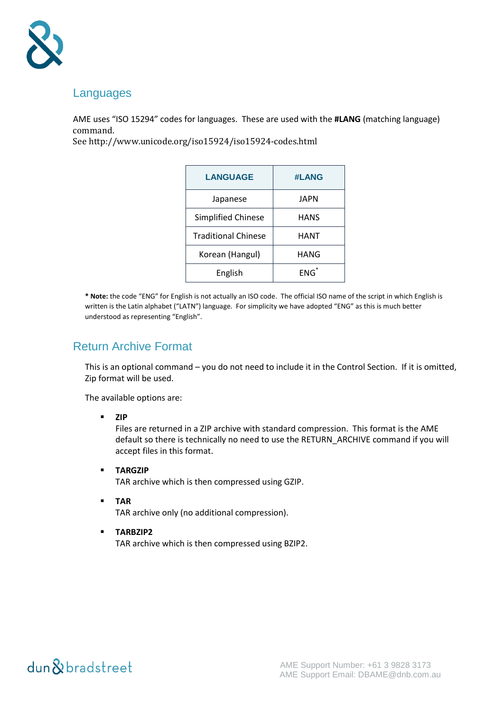

#### Languages

AME uses "ISO 15294" codes for languages. These are used with the **#LANG** (matching language) command.

See<http://www.unicode.org/iso15924/iso15924-codes.html>

| <b>LANGUAGE</b>            | #LANG       |
|----------------------------|-------------|
| Japanese                   | JAPN        |
| <b>Simplified Chinese</b>  | <b>HANS</b> |
| <b>Traditional Chinese</b> | <b>HANT</b> |
| Korean (Hangul)            | HANG        |
| English                    | $ENG^*$     |

**\* Note:** the code "ENG" for English is not actually an ISO code. The official ISO name of the script in which English is written is the Latin alphabet ("LATN") language. For simplicity we have adopted "ENG" as this is much better understood as representing "English".

#### Return Archive Format

This is an optional command – you do not need to include it in the Control Section. If it is omitted, Zip format will be used.

The available options are:

**ZIP**

Files are returned in a ZIP archive with standard compression. This format is the AME default so there is technically no need to use the RETURN\_ARCHIVE command if you will accept files in this format.

**TARGZIP**

TAR archive which is then compressed using GZIP.

**TAR**

TAR archive only (no additional compression).

 **TARBZIP2** TAR archive which is then compressed using BZIP2.

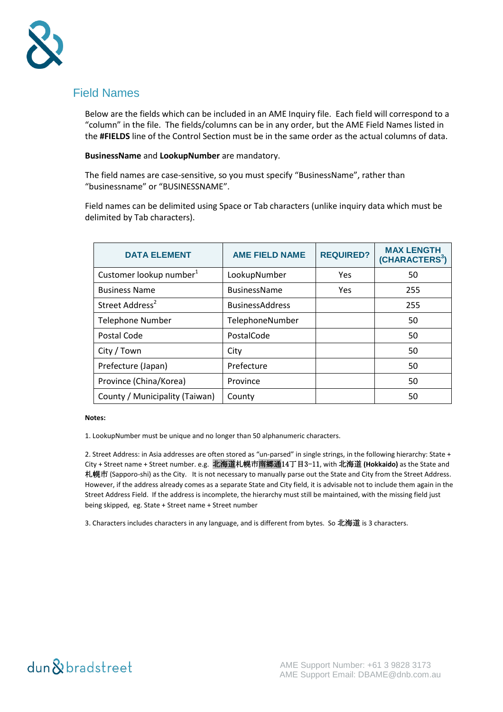

#### Field Names

Below are the fields which can be included in an AME Inquiry file. Each field will correspond to a "column" in the file. The fields/columns can be in any order, but the AME Field Names listed in the **#FIELDS** line of the Control Section must be in the same order as the actual columns of data.

#### **BusinessName** and **LookupNumber** are mandatory.

The field names are case-sensitive, so you must specify "BusinessName", rather than "businessname" or "BUSINESSNAME".

Field names can be delimited using Space or Tab characters (unlike inquiry data which must be delimited by Tab characters).

| <b>DATA ELEMENT</b>                 | <b>AME FIELD NAME</b>  | <b>REQUIRED?</b> | <b>MAX LENGTH</b><br>(CHARACTERS <sup>3</sup> ) |
|-------------------------------------|------------------------|------------------|-------------------------------------------------|
| Customer lookup number <sup>1</sup> | LookupNumber           | Yes              | 50                                              |
| <b>Business Name</b>                | <b>BusinessName</b>    | Yes              | 255                                             |
| Street Address <sup>2</sup>         | <b>BusinessAddress</b> |                  | 255                                             |
| <b>Telephone Number</b>             | TelephoneNumber        |                  | 50                                              |
| Postal Code                         | PostalCode             |                  | 50                                              |
| City / Town                         | City                   |                  | 50                                              |
| Prefecture (Japan)                  | Prefecture             |                  | 50                                              |
| Province (China/Korea)              | Province               |                  | 50                                              |
| County / Municipality (Taiwan)      | County                 |                  | 50                                              |

#### **Notes:**

1. LookupNumber must be unique and no longer than 50 alphanumeric characters.

2. Street Address: in Asia addresses are often stored as "un-parsed" in single strings, in the following hierarchy: State + City + Street name + Street number. e.g. 北海道札幌市南郷通14丁目3-11, with 北海道 **(Hokkaido)** as the State and 札幌市 (Sapporo-shi) as the City. It is not necessary to manually parse out the State and City from the Street Address. However, if the address already comes as a separate State and City field, it is advisable not to include them again in the Street Address Field. If the address is incomplete, the hierarchy must still be maintained, with the missing field just being skipped, eg. State + Street name + Street number

3. Characters includes characters in any language, and is different from bytes. So 北海道 is 3 characters.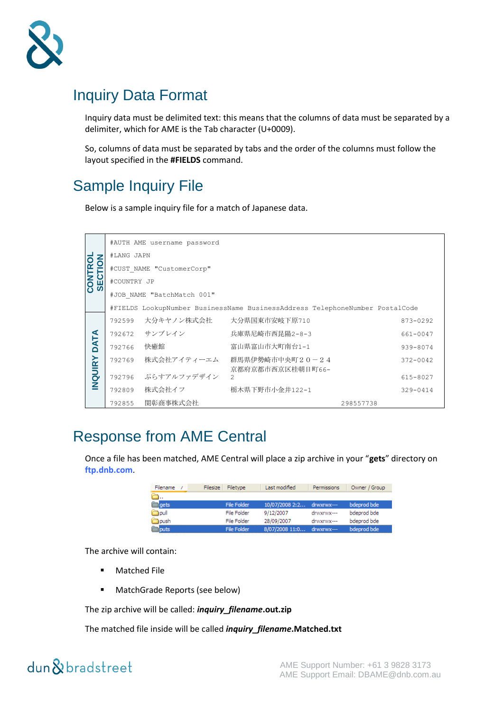

### Inquiry Data Format

Inquiry data must be delimited text: this means that the columns of data must be separated by a delimiter, which for AME is the Tab character (U+0009).

So, columns of data must be separated by tabs and the order of the columns must follow the layout specified in the **#FIELDS** command.

### Sample Inquiry File

Below is a sample inquiry file for a match of Japanese data.

|                           |                           | #AUTH AME username password |                                                                              |              |  |
|---------------------------|---------------------------|-----------------------------|------------------------------------------------------------------------------|--------------|--|
|                           | #LANG JAPN                |                             |                                                                              |              |  |
| <b>CONTROL</b><br>SECTION | #CUST NAME "CustomerCorp" |                             |                                                                              |              |  |
|                           | #COUNTRY JP               |                             |                                                                              |              |  |
|                           |                           | #JOB NAME "BatchMatch 001"  |                                                                              |              |  |
|                           |                           |                             | #FIELDS LookupNumber BusinessName BusinessAddress TelephoneNumber PostalCode |              |  |
|                           | 792599                    | 大分キヤノン株式会社                  | 大分県国東市安岐下原710                                                                | 873-0292     |  |
|                           | 792672                    | サンブレイン                      | 兵庫県尼崎市西昆陽2-8-3                                                               | 661-0047     |  |
| DATA                      | 792766                    | 快癒館                         | 富山県富山市大町南台1-1                                                                | 939-8074     |  |
|                           | 792769                    | 株式会社アイティーエム                 | 群馬県伊勢崎市中央町20-24                                                              | $372 - 0042$ |  |
| <b>INQUIRY</b>            | 792796                    | ぷらすアルファデザイン                 | 京都府京都市西京区桂朝日町66-<br>$\mathfrak{D}$                                           | 615-8027     |  |
|                           | 792809                    | 株式会社イフ                      | 栃木県下野市小金井122-1                                                               | $329 - 0414$ |  |
|                           | 792855                    | 関彰商事株式会社                    |                                                                              | 298557738    |  |

### Response from AME Central

Once a file has been matched, AME Central will place a zip archive in your "**gets**" directory on **[ftp.dnb.com](ftp://ftp.dnb.com/)**.

| Filename | Filesize<br>Filetype | Last modified             | Permissions | Owner / Group |
|----------|----------------------|---------------------------|-------------|---------------|
|          |                      |                           |             |               |
| gets     | File Folder          | 10/07/2008 2:2 drwxrwx--- |             | bdeprod bde   |
| Doull    | File Folder          | 9/12/2007                 | drwxrwx---  | bdeprod bde   |
| housh    | File Folder          | 28/09/2007                | drwxrwx---  | bdeprod bde   |
| puts     | File Folder          | 8/07/2008 11:0            | drwxrwx---  | bdeprod bde   |

The archive will contain:

- Matched File
- **MatchGrade Reports (see below)**

The zip archive will be called: *inquiry\_filename***.out.zip**

The matched file inside will be called *inquiry\_filename***.Matched.txt**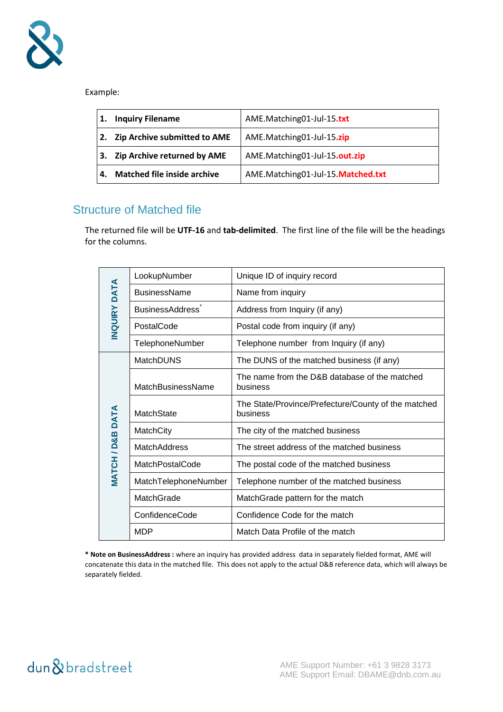

Example:

| 1. | <b>Inquiry Filename</b>             | AME.Matching01-Jul-15.txt         |
|----|-------------------------------------|-----------------------------------|
| 2. | <b>Zip Archive submitted to AME</b> | AME.Matching01-Jul-15.zip         |
| 3. | <b>Zip Archive returned by AME</b>  | AME.Matching01-Jul-15.out.zip     |
| 4. | <b>Matched file inside archive</b>  | AME.Matching01-Jul-15.Matched.txt |

#### Structure of Matched file

The returned file will be **UTF-16** and **tab-delimited**. The first line of the file will be the headings for the columns.

|                | LookupNumber                 | Unique ID of inquiry record                                     |  |
|----------------|------------------------------|-----------------------------------------------------------------|--|
| <b>DATA</b>    | <b>BusinessName</b>          | Name from inquiry                                               |  |
|                | BusinessAddress <sup>®</sup> | Address from Inquiry (if any)                                   |  |
| <b>INQUIRY</b> | PostalCode                   | Postal code from inquiry (if any)                               |  |
|                | TelephoneNumber              | Telephone number from Inquiry (if any)                          |  |
|                | <b>MatchDUNS</b>             | The DUNS of the matched business (if any)                       |  |
|                | MatchBusinessName            | The name from the D&B database of the matched<br>business       |  |
|                | MatchState                   | The State/Province/Prefecture/County of the matched<br>business |  |
|                | MatchCity                    | The city of the matched business                                |  |
| MATCH/D&BDATA  | <b>MatchAddress</b>          | The street address of the matched business                      |  |
|                | MatchPostalCode              | The postal code of the matched business                         |  |
|                | MatchTelephoneNumber         | Telephone number of the matched business                        |  |
|                | MatchGrade                   | MatchGrade pattern for the match                                |  |
|                | ConfidenceCode               | Confidence Code for the match                                   |  |
|                | <b>MDP</b>                   | Match Data Profile of the match                                 |  |

**\* Note on BusinessAddress :** where an inquiry has provided address data in separately fielded format, AME will concatenate this data in the matched file. This does not apply to the actual D&B reference data, which will always be separately fielded.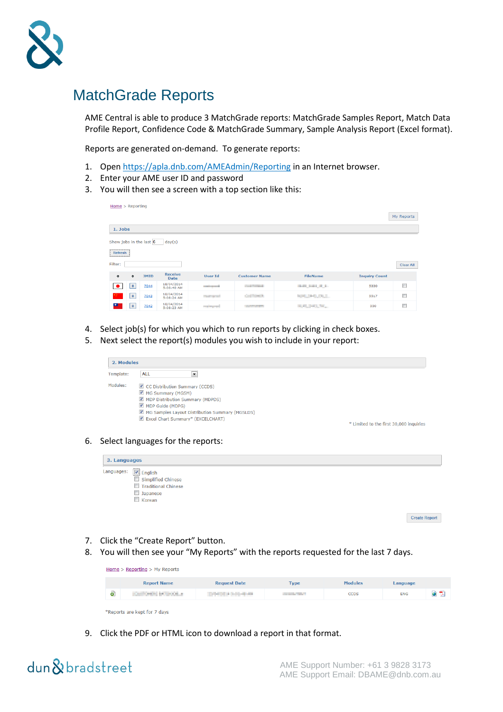

### MatchGrade Reports

AME Central is able to produce 3 MatchGrade reports: MatchGrade Samples Report, Match Data Profile Report, Confidence Code & MatchGrade Summary, Sample Analysis Report (Excel format).

Reports are generated on-demand. To generate reports:

- 1. Open<https://apla.dnb.com/AMEAdmin/Reporting> in an Internet browser.
- 2. Enter your AME user ID and password
- 3. You will then see a screen with a top section like this:

| $Home$ > Reporting      |               |             |                               |                          |                      |                        |                      | My Reports |
|-------------------------|---------------|-------------|-------------------------------|--------------------------|----------------------|------------------------|----------------------|------------|
|                         |               |             |                               |                          |                      |                        |                      |            |
| 1. Jobs                 |               |             |                               |                          |                      |                        |                      |            |
| Show jobs in the last 6 |               |             | day(s)                        |                          |                      |                        |                      |            |
|                         | Refresh       |             |                               |                          |                      |                        |                      |            |
| Filter:                 |               |             | <b>Clear All</b>              |                          |                      |                        |                      |            |
| $\Rightarrow$           | $\Rightarrow$ | <b>JMID</b> | <b>Receive</b><br><b>Date</b> | <b>User Id</b>           | <b>Customer Name</b> | <b>FileName</b>        | <b>Inquiry Count</b> |            |
| $\bullet$               | $\,$ B        | 7044        | 18/04/2014<br>5:08:40 AM      | <b>Contract Contract</b> | Court Chrysler       | <b>BURGHAM ALL AND</b> | 5330                 | $\Box$     |
|                         | $\,$ B        | 7043        | 18/04/2014<br>5:08:24 AM      | The Council              | Contribution At      | NUMBER OF GLACIES      | 5517                 | $\Box$     |
| ш                       | $\, {\bf B}$  | 7042        | 18/04/2014<br>5:08:23 AM      | continuousl              | <b>CONTRACTOR</b>    | <b>SCALE AND THE</b>   | 330                  | $\Box$     |

- 4. Select job(s) for which you which to run reports by clicking in check boxes.
- 5. Next select the report(s) modules you wish to include in your report:

|           | 2. Modules                                      |                                         |  |  |  |
|-----------|-------------------------------------------------|-----------------------------------------|--|--|--|
| Template: | ALL<br>$\blacktriangledown$                     |                                         |  |  |  |
| Modules:  | CC Distribution Summary (CCDS)                  |                                         |  |  |  |
|           | MG Summary (MGSM)                               |                                         |  |  |  |
|           | MDP Distribution Summary (MDPDS)                |                                         |  |  |  |
|           | MDP Guide (MDPG)                                |                                         |  |  |  |
|           | MG Samples Layout Distribution Summary (MGSLDS) |                                         |  |  |  |
|           | Excel Chart Summary* (EXCELCHART)               |                                         |  |  |  |
|           |                                                 | * Limited to the first 30,000 inquiries |  |  |  |

#### 6. Select languages for the reports:

| 3. Languages         |                      |  |  |
|----------------------|----------------------|--|--|
| Languages: 2 English |                      |  |  |
| Simplified Chinese   |                      |  |  |
| Traditional Chinese  |                      |  |  |
| <b>Japanese</b>      |                      |  |  |
| Korean               |                      |  |  |
|                      |                      |  |  |
|                      | <b>Create Report</b> |  |  |

- 7. Click the "Create Report" button.
- 8. You will then see your "My Reports" with the reports requested for the last 7 days.

|                              | Home $>$ Reporting $>$ My Reports |                       |                   |                |            |                          |
|------------------------------|-----------------------------------|-----------------------|-------------------|----------------|------------|--------------------------|
|                              | <b>Report Name</b>                | <b>Request Date</b>   | <b>Type</b>       | <b>Modules</b> | Language   |                          |
| ම                            | <b>CARRONOM BATTINGGLAT</b>       | Deteroit a biological | <b>CONTRACTOR</b> | <b>CCDS</b>    | <b>ENG</b> | $\bullet$ $\overline{v}$ |
| *Reports are kept for 7 days |                                   |                       |                   |                |            |                          |

9. Click the PDF or HTML icon to download a report in that format.